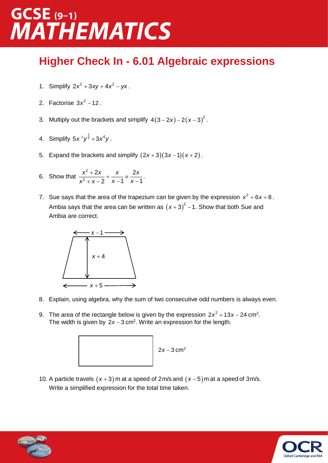### $GCSE$  (9-1) **MATHEMATICS**

#### **Higher Check In - 6.01 Algebraic expressions**

- 1. Simplify  $2x^2 + 3xy + 4x^2 yx$ .
- 2. Factorise  $3x^2 12$ .
- 3. Multiply out the brackets and simplify  $4(3-2x)-2(x-3)^2$ .
- 4. Simplify  $5x^{-2}y^{\frac{1}{3}} \times 3x^4y$ .
- 5. Expand the brackets and simplify  $(2x+3)(3x-1)(x+2)$ .
- 6. Show that  $\frac{x^2 + 2x}{2} + \frac{x}{x} =$  $+$  X  $-$  Z  $-$  X  $-$  X  $-$ 2 2 2*x x* 2 2 *x*-1 *x*-1 *x x x x*  $\frac{x^{2}+2x}{x^{2}+x-2} + \frac{x}{x-1} = \frac{2x}{x-1}$ .
- 7. Sue says that the area of the trapezium can be given by the expression  $x^2 + 6x + 8$ . Ambia says that the area can be written as  $(x+3)^2$  – 1. Show that both Sue and Ambia are correct.



- 8. Explain, using algebra, why the sum of two consecutive odd numbers is always even.
- 9. The area of the rectangle below is given by the expression  $2x^2 + 13x 24$  cm<sup>2</sup>. The width is given by  $2x - 3$  cm<sup>2</sup>. Write an expression for the length.



10. A particle travels  $(x+3)$  m at a speed of 2 m/s and  $(x-5)$  m at a speed of 3 m/s. Write a simplified expression for the total time taken.



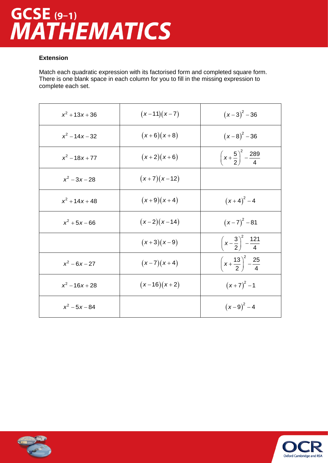# GCSE (9-1)<br>MATHEMATICS

#### **Extension**

Match each quadratic expression with its factorised form and completed square form. There is one blank space in each column for you to fill in the missing expression to complete each set.

| $x^2 + 13x + 36$ | $(x-11)(x-7)$ | $(x-3)^{2}-36$                                 |
|------------------|---------------|------------------------------------------------|
| $x^2 - 14x - 32$ | $(x+6)(x+8)$  | $(x-8)^2 - 36$                                 |
| $x^2 - 18x + 77$ | $(x+2)(x+6)$  | $\left(x+\frac{5}{2}\right)^2 - \frac{289}{4}$ |
| $x^2 - 3x - 28$  | $(x+7)(x-12)$ |                                                |
| $x^2 + 14x + 48$ | $(x+9)(x+4)$  | $(x+4)^{2}-4$                                  |
| $x^2 + 5x - 66$  | $(x-2)(x-14)$ | $(x-7)^2-81$                                   |
|                  | $(x+3)(x-9)$  | $\left(x-\frac{3}{2}\right)^2-\frac{121}{4}$   |
| $x^2 - 6x - 27$  | $(x-7)(x+4)$  | $\left(x+\frac{13}{2}\right)^2-\frac{25}{4}$   |
| $x^2 - 16x + 28$ | $(x-16)(x+2)$ | $(x+7)^{2}-1$                                  |
| $x^2 - 5x - 84$  |               | $(x-9)^{2}-4$                                  |



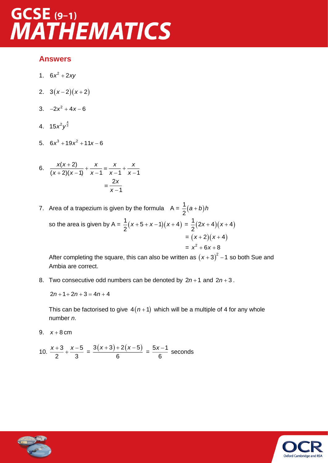### **GCSE** (9-1) **MATHEMATICS**

#### **Answers**

- 1.  $6x^2 + 2xy$
- 2.  $3(x-2)(x+2)$
- $3. -2x^2 + 4x 6$
- 4.  $15x^2y^{\frac{4}{3}}$
- 5.  $6x^3 + 19x^2 + 11x 6$

6. 
$$
\frac{x(x+2)}{(x+2)(x-1)} + \frac{x}{x-1} = \frac{x}{x-1} + \frac{x}{x-1}
$$

$$
= \frac{2x}{x-1}
$$

7. Area of a trapezium is given by the formula  $A = \frac{1}{2}(a+b)$ 2 *a b h* so the area is given by A =  $\frac{1}{2}(x+5+x-1)(x+4)$  $\frac{1}{2}(x+5+x-1)(x+4) = \frac{1}{2}(2x+4)(x+4)$  $\frac{1}{2}$  $(2x+4)(x)$  $=(x+2)(x+4)$  $= x^2 + 6x + 8$ 

After completing the square, this can also be written as  $(x+3)^2$  –1 so both Sue and Ambia are correct.

8. Two consecutive odd numbers can be denoted by  $2n+1$  and  $2n+3$ .

$$
2n + 1 + 2n + 3 = 4n + 4
$$

This can be factorised to give  $4(n+1)$  which will be a multiple of 4 for any whole number *n*.

9.  $x+8$  cm

10. 
$$
\frac{x+3}{2} + \frac{x-5}{3} = \frac{3(x+3) + 2(x-5)}{6} = \frac{5x-1}{6}
$$
 seconds



Oxford Cambridge

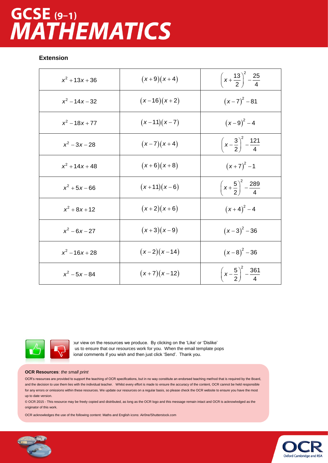# GCSE (9-1)<br>MATHEMATICS

#### **Extension**

| $x^2 + 13x + 36$ | $(x+9)(x+4)$  | $\left(x+\frac{13}{2}\right)^2-\frac{25}{4}$   |
|------------------|---------------|------------------------------------------------|
| $x^2 - 14x - 32$ | $(x-16)(x+2)$ | $(x-7)^2-81$                                   |
| $x^2 - 18x + 77$ | $(x-11)(x-7)$ | $(x-9)^{2}-4$                                  |
| $x^2 - 3x - 28$  | $(x-7)(x+4)$  | $\left(x-\frac{3}{2}\right)^2 - \frac{121}{4}$ |
| $x^2 + 14x + 48$ | $(x+6)(x+8)$  | $(x+7)^{2}-1$                                  |
| $x^2 + 5x - 66$  | $(x+11)(x-6)$ | $\left(x+\frac{5}{2}\right)^2-\frac{289}{4}$   |
| $x^2 + 8x + 12$  | $(x+2)(x+6)$  | $(x+4)^{2}-4$                                  |
| $x^2 - 6x - 27$  | $(x+3)(x-9)$  | $(x-3)^2-36$                                   |
| $x^2 - 16x + 28$ | $(x-2)(x-14)$ | $(x-8)^2 - 36$                                 |
| $x^2 - 5x - 84$  | $(x+7)(x-12)$ | $\left(x-\frac{5}{2}\right)^2 - \frac{361}{4}$ |



bur view on the resources we produce. By clicking on the 'Like' or 'Dislike' us to ensure that our resources work for you. When the email template pops ional comments if you wish and then just click 'Send'. Thank you.

#### **OCR Resources**: *the small print*

OCR's resources are provided to support the teaching of OCR specifications, but in no way constitute an endorsed teaching method that is required by the Board, and the decision to use them lies with the individual teacher. Whilst every effort is made to ensure the accuracy of the content, OCR cannot be held responsible for any errors or omissions within these resources. We update our resources on a regular basis, so please check the OCR website to ensure you have the most up to date version.

© OCR 2015 - This resource may be freely copied and distributed, as long as the OCR logo and this message remain intact and OCR is acknowledged as the originator of this work.

OCR acknowledges the use of the following content: Maths and English icons: Air0ne/Shutterstock.com